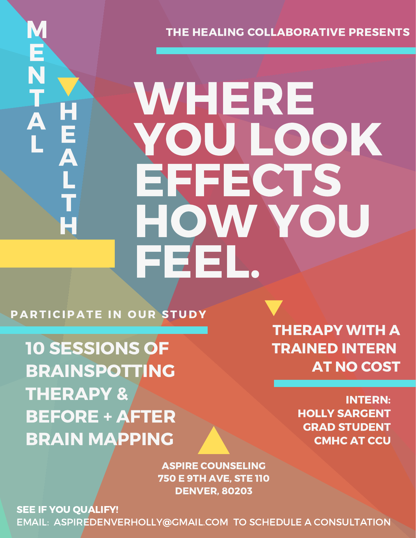THE HEALING COLLABORATIVE PRESENTS

# WHERE YOU LOOK **EFFECTS** HOW YOU FEEL.

PARTICIPATE IN OUR STUDY

M

E

N

T

A

H

E

 $\overline{\mathbf{A}}$ 

L

T

H

L

10 SESSIONS OF BRAINSPOTTING THERAPY & BEFORE + AFTER BRAIN MAPPING

THERAPY WITH A TRAINED INTERN AT NO COST

> INTERN: HOLLY SARGENT GRAD STUDENT CMHC AT CCU

ASPIRE COUNSELING 750 E 9TH AVE, STE 110 DENVER, 80203

SEE IF YOU OUALIFY! EMAIL: ASPIREDENVERHOLLY@GMAIL.COM TO SCHEDULE A CONSULTATION